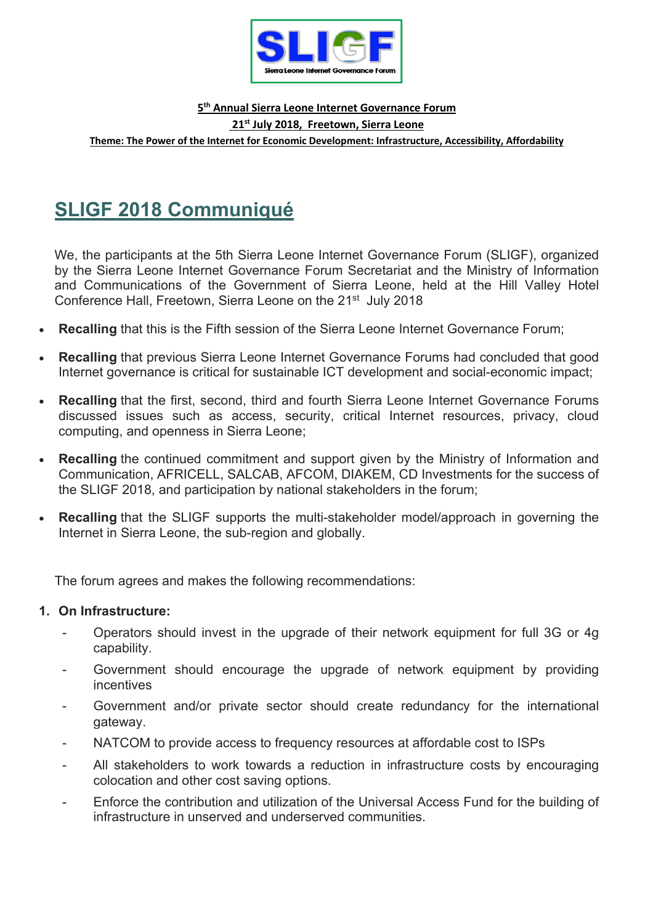

#### **5th Annual Sierra Leone Internet Governance Forum**

**21st July 2018, Freetown, Sierra Leone**

**Theme: The Power of the Internet for Economic Development: Infrastructure, Accessibility, Affordability** 

# **SLIGF 2018 Communiqué**

We, the participants at the 5th Sierra Leone Internet Governance Forum (SLIGF), organized by the Sierra Leone Internet Governance Forum Secretariat and the Ministry of Information and Communications of the Government of Sierra Leone, held at the Hill Valley Hotel Conference Hall, Freetown, Sierra Leone on the 21<sup>st</sup> July 2018

- **Recalling** that this is the Fifth session of the Sierra Leone Internet Governance Forum;
- **Recalling** that previous Sierra Leone Internet Governance Forums had concluded that good Internet governance is critical for sustainable ICT development and social-economic impact;
- **Recalling** that the first, second, third and fourth Sierra Leone Internet Governance Forums discussed issues such as access, security, critical Internet resources, privacy, cloud computing, and openness in Sierra Leone;
- **Recalling** the continued commitment and support given by the Ministry of Information and Communication, AFRICELL, SALCAB, AFCOM, DIAKEM, CD Investments for the success of the SLIGF 2018, and participation by national stakeholders in the forum;
- **Recalling** that the SLIGF supports the multi-stakeholder model/approach in governing the Internet in Sierra Leone, the sub-region and globally.

The forum agrees and makes the following recommendations:

### **1. On Infrastructure:**

- Operators should invest in the upgrade of their network equipment for full 3G or 4g capability.
- Government should encourage the upgrade of network equipment by providing incentives
- Government and/or private sector should create redundancy for the international gateway.
- NATCOM to provide access to frequency resources at affordable cost to ISPs
- All stakeholders to work towards a reduction in infrastructure costs by encouraging colocation and other cost saving options.
- Enforce the contribution and utilization of the Universal Access Fund for the building of infrastructure in unserved and underserved communities.